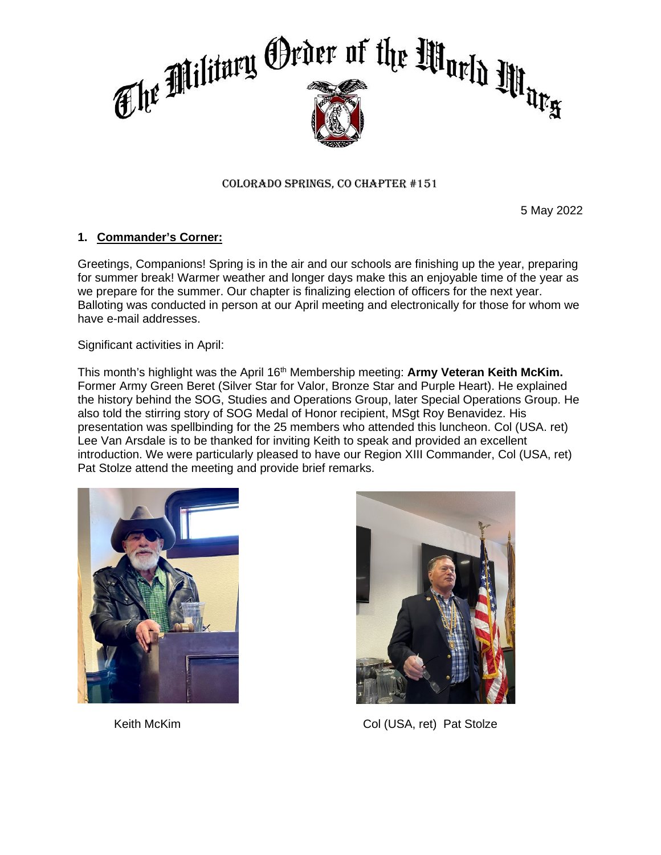

### Colorado Springs, CO Chapter #151

5 May 2022

# **1. Commander's Corner:**

Greetings, Companions! Spring is in the air and our schools are finishing up the year, preparing for summer break! Warmer weather and longer days make this an enjoyable time of the year as we prepare for the summer. Our chapter is finalizing election of officers for the next year. Balloting was conducted in person at our April meeting and electronically for those for whom we have e-mail addresses.

Significant activities in April:

This month's highlight was the April 16th Membership meeting: **Army Veteran Keith McKim.** Former Army Green Beret (Silver Star for Valor, Bronze Star and Purple Heart). He explained the history behind the SOG, Studies and Operations Group, later Special Operations Group. He also told the stirring story of SOG Medal of Honor recipient, MSgt Roy Benavidez. His presentation was spellbinding for the 25 members who attended this luncheon. Col (USA. ret) Lee Van Arsdale is to be thanked for inviting Keith to speak and provided an excellent introduction. We were particularly pleased to have our Region XIII Commander, Col (USA, ret) Pat Stolze attend the meeting and provide brief remarks.





Keith McKim Col (USA, ret) Pat Stolze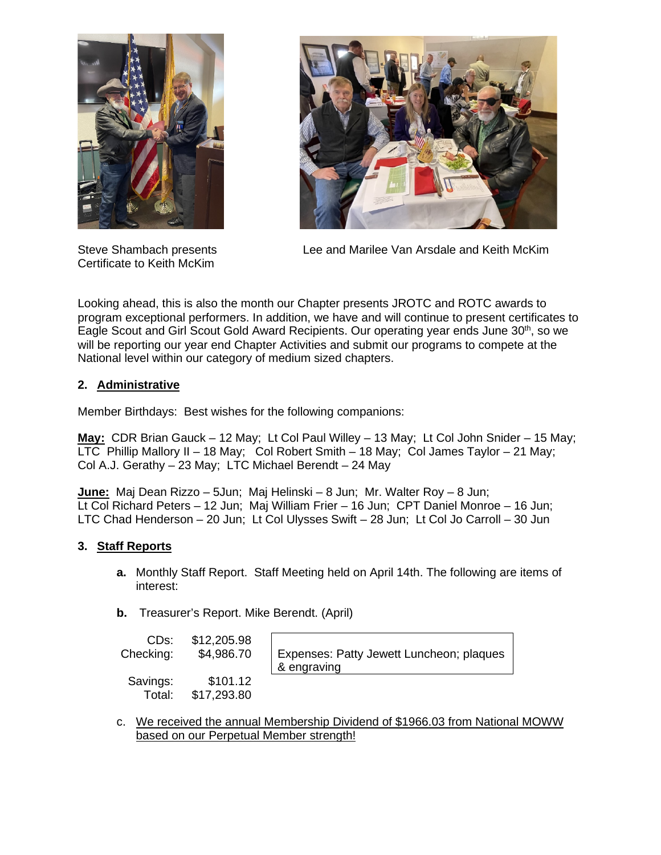

Certificate to Keith McKim



Steve Shambach presents Lee and Marilee Van Arsdale and Keith McKim

Looking ahead, this is also the month our Chapter presents JROTC and ROTC awards to program exceptional performers. In addition, we have and will continue to present certificates to Eagle Scout and Girl Scout Gold Award Recipients. Our operating year ends June 30<sup>th</sup>, so we will be reporting our year end Chapter Activities and submit our programs to compete at the National level within our category of medium sized chapters.

# **2. Administrative**

Member Birthdays: Best wishes for the following companions:

**May:** CDR Brian Gauck – 12 May; Lt Col Paul Willey – 13 May; Lt Col John Snider – 15 May;  $\overline{\text{LTC}}$  Phillip Mallory II – 18 May; Col Robert Smith – 18 May; Col James Taylor – 21 May; Col A.J. Gerathy – 23 May; LTC Michael Berendt – 24 May

**June:** Maj Dean Rizzo – 5Jun; Maj Helinski – 8 Jun; Mr. Walter Roy – 8 Jun; Lt Col Richard Peters – 12 Jun; Maj William Frier – 16 Jun; CPT Daniel Monroe – 16 Jun; LTC Chad Henderson – 20 Jun; Lt Col Ulysses Swift – 28 Jun; Lt Col Jo Carroll – 30 Jun

# **3. Staff Reports**

- **a.** Monthly Staff Report. Staff Meeting held on April 14th. The following are items of interest:
- **b.** Treasurer's Report. Mike Berendt. (April)

| CDs:<br>Checking:  | \$12,205.98<br>\$4,986.70 | E |
|--------------------|---------------------------|---|
| Savings:<br>Total: | \$101.12<br>\$17,293.80   | & |

xpenses: Patty Jewett Luncheon; plaques engraving

c. We received the annual Membership Dividend of \$1966.03 from National MOWW based on our Perpetual Member strength!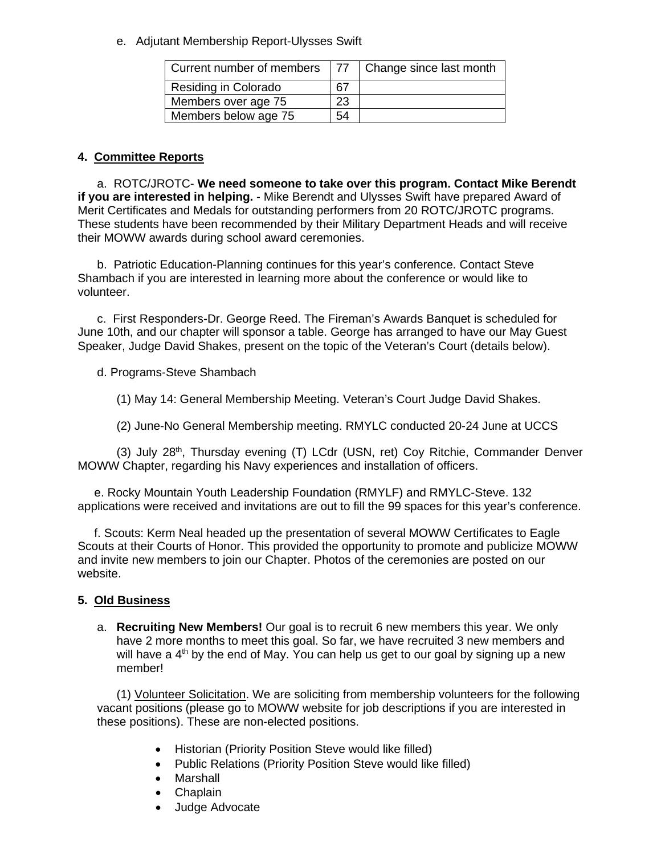e. Adjutant Membership Report-Ulysses Swift

| Current number of members   | 77 | Change since last month |
|-----------------------------|----|-------------------------|
| <b>Residing in Colorado</b> |    |                         |
| Members over age 75         | 23 |                         |
| Members below age 75        |    |                         |

# **4. Committee Reports**

a. ROTC/JROTC- **We need someone to take over this program. Contact Mike Berendt if you are interested in helping.** - Mike Berendt and Ulysses Swift have prepared Award of Merit Certificates and Medals for outstanding performers from 20 ROTC/JROTC programs. These students have been recommended by their Military Department Heads and will receive their MOWW awards during school award ceremonies.

b. Patriotic Education-Planning continues for this year's conference. Contact Steve Shambach if you are interested in learning more about the conference or would like to volunteer.

c. First Responders-Dr. George Reed. The Fireman's Awards Banquet is scheduled for June 10th, and our chapter will sponsor a table. George has arranged to have our May Guest Speaker, Judge David Shakes, present on the topic of the Veteran's Court (details below).

d. Programs-Steve Shambach

(1) May 14: General Membership Meeting. Veteran's Court Judge David Shakes.

(2) June-No General Membership meeting. RMYLC conducted 20-24 June at UCCS

(3) July  $28<sup>th</sup>$ , Thursday evening (T) LCdr (USN, ret) Coy Ritchie, Commander Denver MOWW Chapter, regarding his Navy experiences and installation of officers.

 e. Rocky Mountain Youth Leadership Foundation (RMYLF) and RMYLC-Steve. 132 applications were received and invitations are out to fill the 99 spaces for this year's conference.

 f. Scouts: Kerm Neal headed up the presentation of several MOWW Certificates to Eagle Scouts at their Courts of Honor. This provided the opportunity to promote and publicize MOWW and invite new members to join our Chapter. Photos of the ceremonies are posted on our website.

# **5. Old Business**

a. **Recruiting New Members!** Our goal is to recruit 6 new members this year. We only have 2 more months to meet this goal. So far, we have recruited 3 new members and will have a  $4<sup>th</sup>$  by the end of May. You can help us get to our goal by signing up a new member!

(1) Volunteer Solicitation. We are soliciting from membership volunteers for the following vacant positions (please go to MOWW website for job descriptions if you are interested in these positions). These are non-elected positions.

- Historian (Priority Position Steve would like filled)
- Public Relations (Priority Position Steve would like filled)
- Marshall
- Chaplain
- Judge Advocate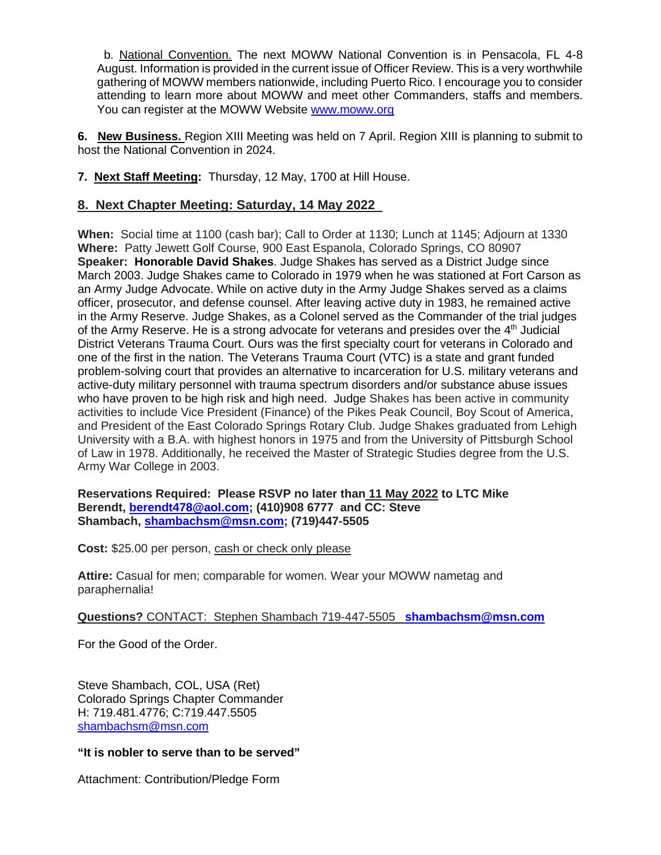b. National Convention. The next MOWW National Convention is in Pensacola, FL 4-8 August. Information is provided in the current issue of Officer Review. This is a very worthwhile gathering of MOWW members nationwide, including Puerto Rico. I encourage you to consider attending to learn more about MOWW and meet other Commanders, staffs and members. You can register at the MOWW Website [www.moww.org](http://www.moww.org/)

**6. New Business.** Region XIII Meeting was held on 7 April. Region XIII is planning to submit to host the National Convention in 2024.

### **7. Next Staff Meeting:** Thursday, 12 May, 1700 at Hill House.

# **8. Next Chapter Meeting: Saturday, 14 May 2022**

**When:** Social time at 1100 (cash bar); Call to Order at 1130; Lunch at 1145; Adjourn at 1330 **Where:** Patty Jewett Golf Course, 900 East Espanola, Colorado Springs, CO 80907 **Speaker: Honorable David Shakes**. Judge Shakes has served as a District Judge since March 2003. Judge Shakes came to Colorado in 1979 when he was stationed at Fort Carson as an Army Judge Advocate. While on active duty in the Army Judge Shakes served as a claims officer, prosecutor, and defense counsel. After leaving active duty in 1983, he remained active in the Army Reserve. Judge Shakes, as a Colonel served as the Commander of the trial judges of the Army Reserve. He is a strong advocate for veterans and presides over the  $4<sup>th</sup>$  Judicial District Veterans Trauma Court. Ours was the first specialty court for veterans in Colorado and one of the first in the nation. The Veterans Trauma Court (VTC) is a state and grant funded problem-solving court that provides an alternative to incarceration for U.S. military veterans and active-duty military personnel with trauma spectrum disorders and/or substance abuse issues who have proven to be high risk and high need. Judge Shakes has been active in community activities to include Vice President (Finance) of the Pikes Peak Council, Boy Scout of America, and President of the East Colorado Springs Rotary Club. Judge Shakes graduated from Lehigh University with a B.A. with highest honors in 1975 and from the University of Pittsburgh School of Law in 1978. Additionally, he received the Master of Strategic Studies degree from the U.S. Army War College in 2003.

**Reservations Required: Please RSVP no later than 11 May 2022 to LTC Mike Berendt, [berendt478@aol.com;](mailto:berendt478@aol.com) (410)908 6777 and CC: Steve Shambach, [shambachsm@msn.com;](mailto:shambachsm@msn.com) (719)447-5505**

**Cost:** \$25.00 per person, cash or check only please

**Attire:** Casual for men; comparable for women. Wear your MOWW nametag and paraphernalia!

### **Questions?** CONTACT: Stephen Shambach 719-447-5505 **[shambachsm@msn.com](mailto:shambachsm@msn.com)**

For the Good of the Order.

Steve Shambach, COL, USA (Ret) Colorado Springs Chapter Commander H: 719.481.4776; C:719.447.5505 [shambachsm@msn.com](mailto:shambachsm@msn.com)

### **"It is nobler to serve than to be served"**

Attachment: Contribution/Pledge Form